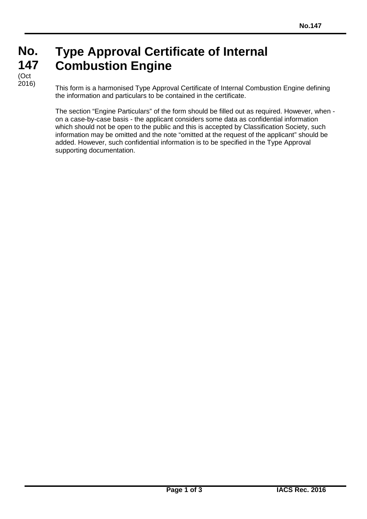#### **No. No. 147 147 Type Approval Certificate of Internal Combustion Engine** (Oct

(Ծնե<br>2016)

This form is a harmonised Type Approval Certificate of Internal Combustion Engine defining the information and particulars to be contained in the certificate.

The section "Engine Particulars" of the form should be filled out as required. However, when on a case-by-case basis - the applicant considers some data as confidential information which should not be open to the public and this is accepted by Classification Society, such information may be omitted and the note "omitted at the request of the applicant" should be added. However, such confidential information is to be specified in the Type Approval supporting documentation.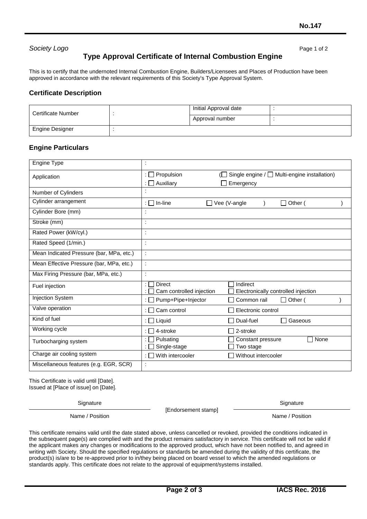### **Society Logo** Page 1 of 2

## **Type Approval Certificate of Internal Combustion Engine**

This is to certify that the undernoted Internal Combustion Engine, Builders/Licensees and Places of Production have been approved in accordance with the relevant requirements of this Society's Type Approval System.

### **Certificate Description**

| Certificate Number     |  | Initial Approval date |  |
|------------------------|--|-----------------------|--|
|                        |  | Approval number       |  |
| <b>Engine Designer</b> |  |                       |  |

#### **Engine Particulars**

| Engine Type                              |                                           |                                                               |
|------------------------------------------|-------------------------------------------|---------------------------------------------------------------|
| Application                              | Propulsion<br>Auxiliary                   | Single engine $/\Box$ Multi-engine installation)<br>Emergency |
| Number of Cylinders                      |                                           |                                                               |
| Cylinder arrangement                     | In-line                                   | Vee (V-angle<br>Other (                                       |
| Cylinder Bore (mm)                       | ٠                                         |                                                               |
| Stroke (mm)                              | t                                         |                                                               |
| Rated Power (kW/cyl.)                    | İ                                         |                                                               |
| Rated Speed (1/min.)                     | ċ                                         |                                                               |
| Mean Indicated Pressure (bar, MPa, etc.) | t                                         |                                                               |
| Mean Effective Pressure (bar, MPa, etc.) | t                                         |                                                               |
| Max Firing Pressure (bar, MPa, etc.)     | İ                                         |                                                               |
| Fuel injection                           | <b>Direct</b><br>Cam controlled injection | Indirect<br>Electronically controlled injection               |
| Injection System                         | Pump+Pipe+Injector                        | $\Box$ Other (<br>Common rail                                 |
| Valve operation                          | Cam control<br>: FI                       | Electronic control                                            |
| Kind of fuel                             | : $\Box$ Liquid                           | Dual-fuel<br>Gaseous                                          |
| Working cycle                            | 4-stroke                                  | 2-stroke                                                      |
| Turbocharging system                     | Pulsating<br>Single-stage                 | None<br>Constant pressure<br>Two stage                        |
| Charge air cooling system                | With intercooler                          | Without intercooler                                           |
| Miscellaneous features (e.g. EGR, SCR)   | t                                         |                                                               |

This Certificate is valid until [Date]. Issued at [Place of issue] on [Date].

**Signature** 

[Endorsement stamp]

**Signature** 

Name / Position Name / Position Name / Position

This certificate remains valid until the date stated above, unless cancelled or revoked, provided the conditions indicated in the subsequent page(s) are complied with and the product remains satisfactory in service. This certificate will not be valid if the applicant makes any changes or modifications to the approved product, which have not been notified to, and agreed in writing with Society. Should the specified regulations or standards be amended during the validity of this certificate, the product(s) is/are to be re-approved prior to in/they being placed on board vessel to which the amended regulations or standards apply. This certificate does not relate to the approval of equipment/systems installed.